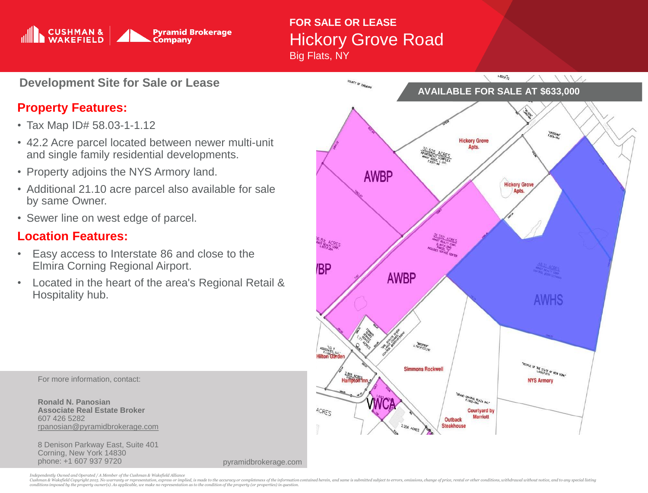

## **FOR SALE OR LEASE** Hickory Grove Road Big Flats, NY

**Development Site for Sale or Lease**

## **Property Features:**

- Tax Map ID# 58.03-1-1.12
- 42.2 Acre parcel located between newer multi-unit and single family residential developments.
- Property adjoins the NYS Armory land.
- Additional 21.10 acre parcel also available for sale by same Owner.
- Sewer line on west edge of parcel.

## **Location Features:**

- Easy access to Interstate 86 and close to the Elmira Corning Regional Airport.
- Located in the heart of the area's Regional Retail & Hospitality hub.



8 Denison Parkway East, Suite 401 Corning, New York 14830 phone: +1 607 937 9720

pyramidbrokerage.com



Independently Owned and Operated / A Member of the Cushman & Wakefield Alliance<br>Cushman & Wakefield Copyright 2015. No warranty or representation, express or implied, is made to the accuracy or completeness of the informat *conditions imposed by the property owner(s). As applicable, we make no representation as to the condition of the property (or properties) in question.*